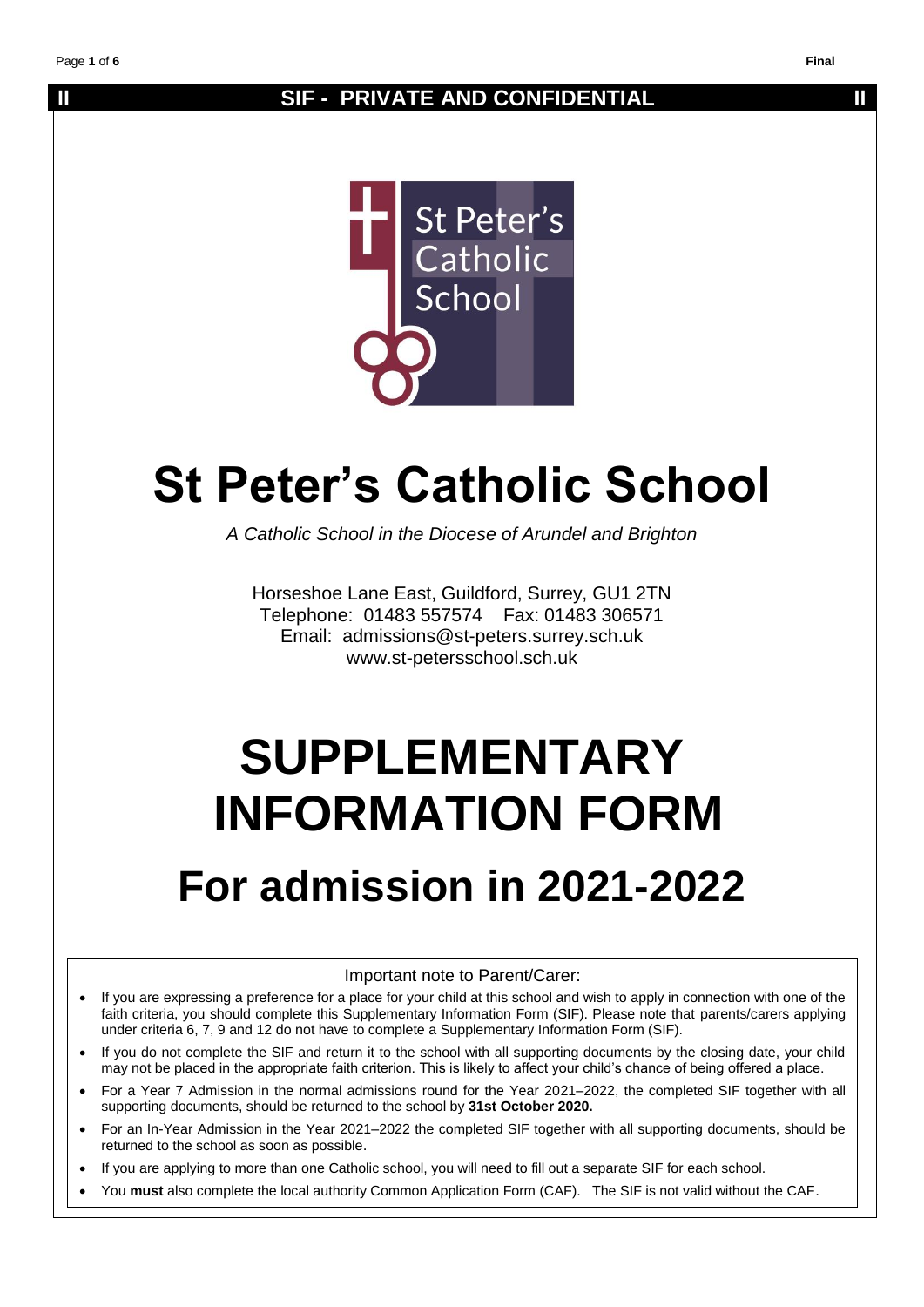## **II** SIF - PRIVATE AND CONFIDENTIAL **II**



# **St Peter's Catholic School**

*A Catholic School in the Diocese of Arundel and Brighton*

Horseshoe Lane East, Guildford, Surrey, GU1 2TN Telephone: 01483 557574 Fax: 01483 306571 Email: admissions@st-peters.surrey.sch.uk www.st-petersschool.sch.uk

# **SUPPLEMENTARY INFORMATION FORM**

## **For admission in 2021-2022**

Important note to Parent/Carer:

- If you are expressing a preference for a place for your child at this school and wish to apply in connection with one of the faith criteria, you should complete this Supplementary Information Form (SIF). Please note that parents/carers applying under criteria 6, 7, 9 and 12 do not have to complete a Supplementary Information Form (SIF).
- If you do not complete the SIF and return it to the school with all supporting documents by the closing date, your child may not be placed in the appropriate faith criterion. This is likely to affect your child's chance of being offered a place.
- For a Year 7 Admission in the normal admissions round for the Year 2021–2022, the completed SIF together with all supporting documents, should be returned to the school by **31st October 2020.**
- For an In-Year Admission in the Year 2021–2022 the completed SIF together with all supporting documents, should be returned to the school as soon as possible.
- If you are applying to more than one Catholic school, you will need to fill out a separate SIF for each school.
- You **must** also complete the local authority Common Application Form (CAF). The SIF is not valid without the CAF.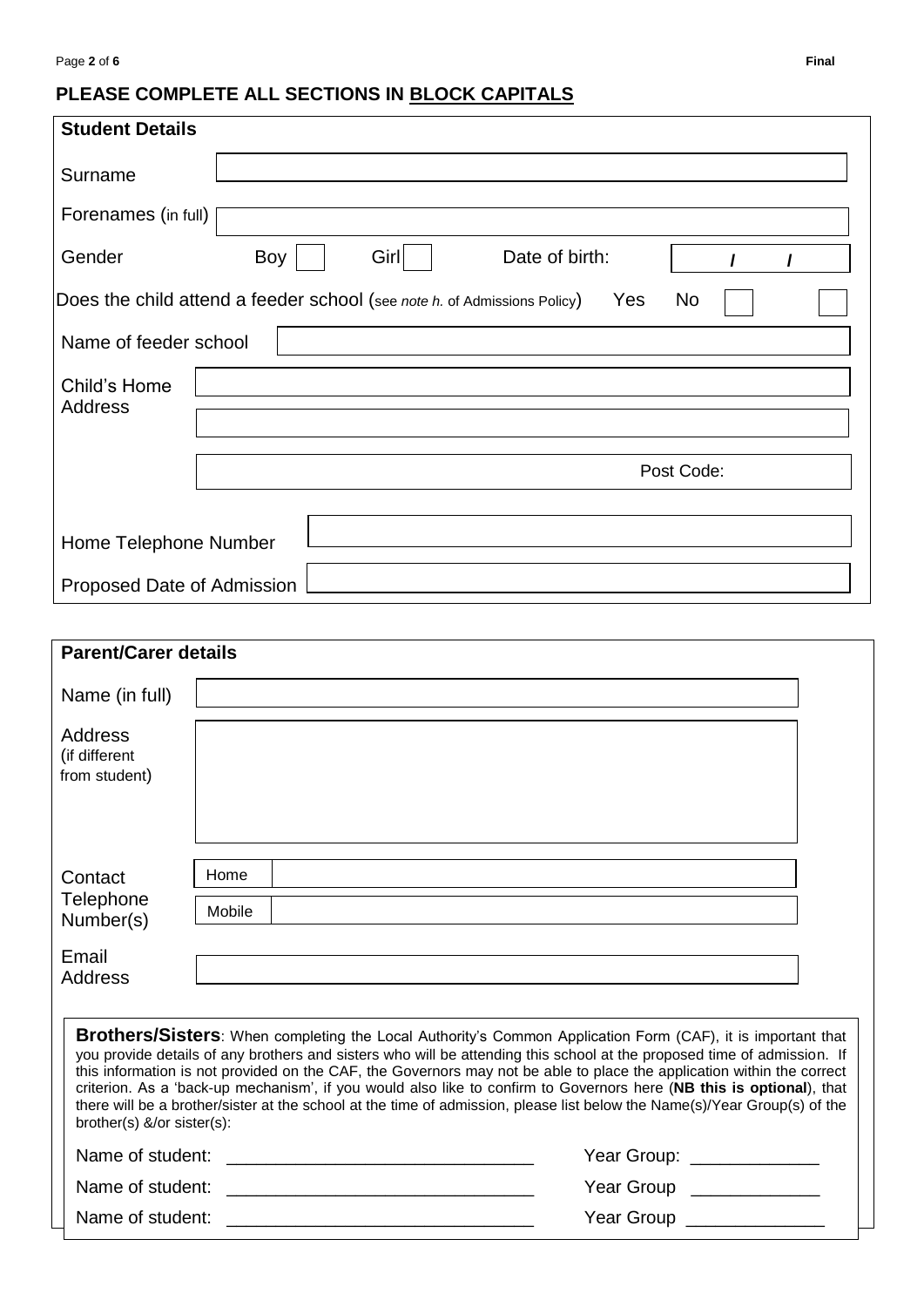## **PLEASE COMPLETE ALL SECTIONS IN BLOCK CAPITALS**

| <b>Student Details</b>                    |                                                                                       |  |
|-------------------------------------------|---------------------------------------------------------------------------------------|--|
| Surname                                   |                                                                                       |  |
| Forenames (in full)                       |                                                                                       |  |
| Gender                                    | $\text{Girl}$<br>Boy<br>Date of birth:<br>$\prime$<br>$\prime$                        |  |
|                                           | Does the child attend a feeder school (see note h. of Admissions Policy)<br>Yes<br>No |  |
| Name of feeder school                     |                                                                                       |  |
| Child's Home<br>Address                   |                                                                                       |  |
|                                           | Post Code:                                                                            |  |
| Home Telephone Number                     |                                                                                       |  |
| Proposed Date of Admission                |                                                                                       |  |
|                                           |                                                                                       |  |
| <b>Parent/Carer details</b>               |                                                                                       |  |
| Name (in full)                            |                                                                                       |  |
| Address<br>(if different<br>from student) |                                                                                       |  |
| Contact                                   | Home                                                                                  |  |
| Telephone<br>Number(s)                    | Mobile                                                                                |  |
| Email<br>Address                          |                                                                                       |  |

| <b>Brothers/Sisters:</b> When completing the Local Authority's Common Application Form (CAF), it is important that<br>you provide details of any brothers and sisters who will be attending this school at the proposed time of admission. If<br>this information is not provided on the CAF, the Governors may not be able to place the application within the correct<br>criterion. As a 'back-up mechanism', if you would also like to confirm to Governors here (NB this is optional), that<br>there will be a brother/sister at the school at the time of admission, please list below the Name(s)/Year Group(s) of the<br>brother(s) &/or sister(s): |                                           |
|------------------------------------------------------------------------------------------------------------------------------------------------------------------------------------------------------------------------------------------------------------------------------------------------------------------------------------------------------------------------------------------------------------------------------------------------------------------------------------------------------------------------------------------------------------------------------------------------------------------------------------------------------------|-------------------------------------------|
| Name of student:                                                                                                                                                                                                                                                                                                                                                                                                                                                                                                                                                                                                                                           | Year Group: ______________                |
| Name of student:                                                                                                                                                                                                                                                                                                                                                                                                                                                                                                                                                                                                                                           | Year Group <b>Santa Structure Control</b> |
| Name of student:                                                                                                                                                                                                                                                                                                                                                                                                                                                                                                                                                                                                                                           | Year Group                                |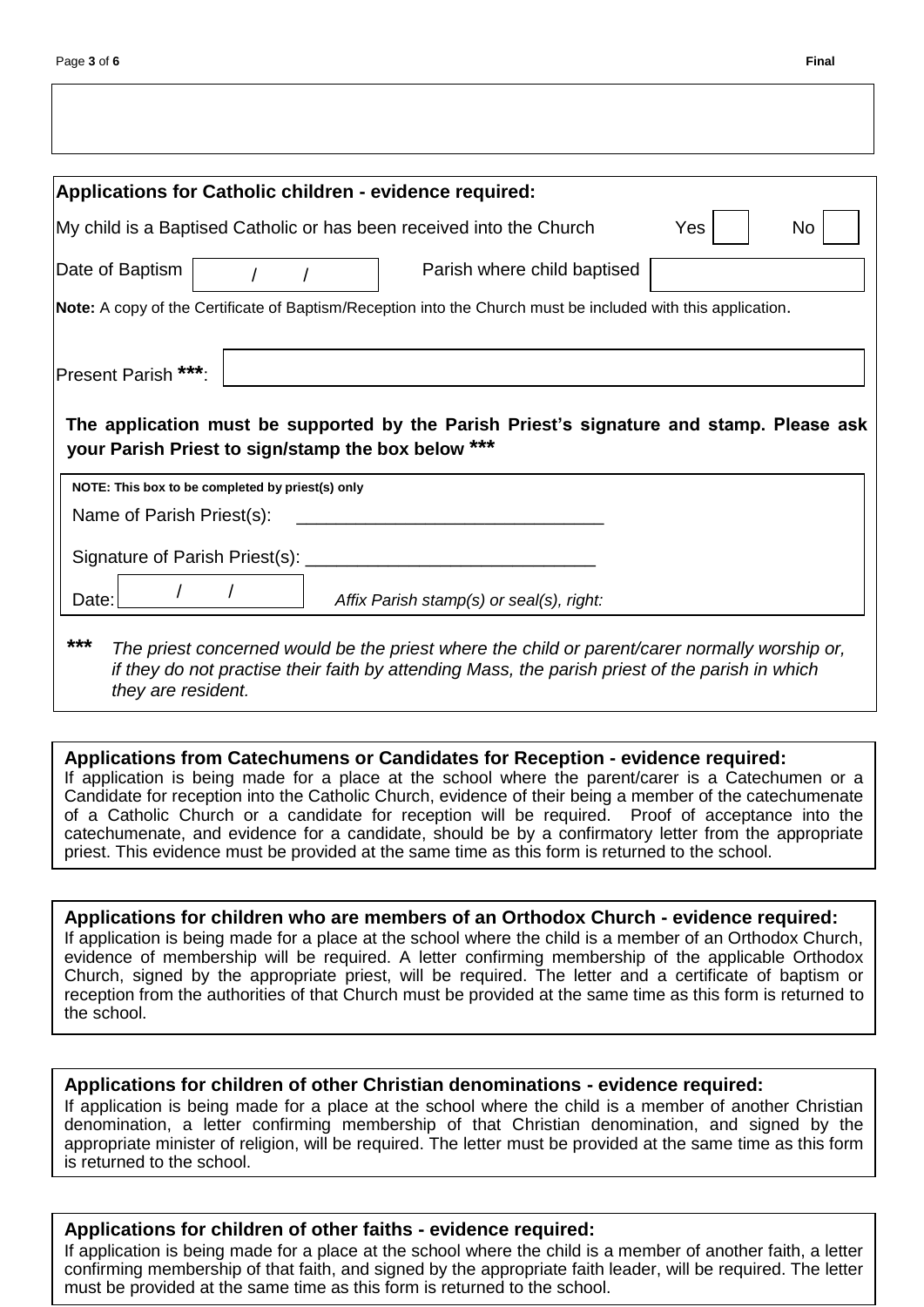| <b>Applications for Catholic children - evidence required:</b> |                                                                                                              |     |    |
|----------------------------------------------------------------|--------------------------------------------------------------------------------------------------------------|-----|----|
|                                                                | My child is a Baptised Catholic or has been received into the Church                                         | Yes | No |
| Date of Baptism                                                | Parish where child baptised                                                                                  |     |    |
|                                                                | Note: A copy of the Certificate of Baptism/Reception into the Church must be included with this application. |     |    |
| Present Parish ***:                                            | The application must be supported by the Parish Priest's signature and stamp. Please ask                     |     |    |
| your Parish Priest to sign/stamp the box below ***             |                                                                                                              |     |    |
| NOTE: This box to be completed by priest(s) only               |                                                                                                              |     |    |
| Name of Parish Priest(s):                                      |                                                                                                              |     |    |
| Signature of Parish Priest(s):                                 |                                                                                                              |     |    |

*if they do not practise their faith by attending Mass, the parish priest of the parish in which they are resident.*

**Applications from Catechumens or Candidates for Reception - evidence required:**

If application is being made for a place at the school where the parent/carer is a Catechumen or a Candidate for reception into the Catholic Church, evidence of their being a member of the catechumenate of a Catholic Church or a candidate for reception will be required. Proof of acceptance into the catechumenate, and evidence for a candidate, should be by a confirmatory letter from the appropriate priest. This evidence must be provided at the same time as this form is returned to the school.

**Applications for children who are members of an Orthodox Church - evidence required:** If application is being made for a place at the school where the child is a member of an Orthodox Church, evidence of membership will be required. A letter confirming membership of the applicable Orthodox Church, signed by the appropriate priest, will be required. The letter and a certificate of baptism or reception from the authorities of that Church must be provided at the same time as this form is returned to the school.

## **Applications for children of other Christian denominations - evidence required:**

If application is being made for a place at the school where the child is a member of another Christian denomination, a letter confirming membership of that Christian denomination, and signed by the appropriate minister of religion, will be required. The letter must be provided at the same time as this form is returned to the school.

## **Applications for children of other faiths - evidence required:**

If application is being made for a place at the school where the child is a member of another faith, a letter confirming membership of that faith, and signed by the appropriate faith leader, will be required. The letter must be provided at the same time as this form is returned to the school.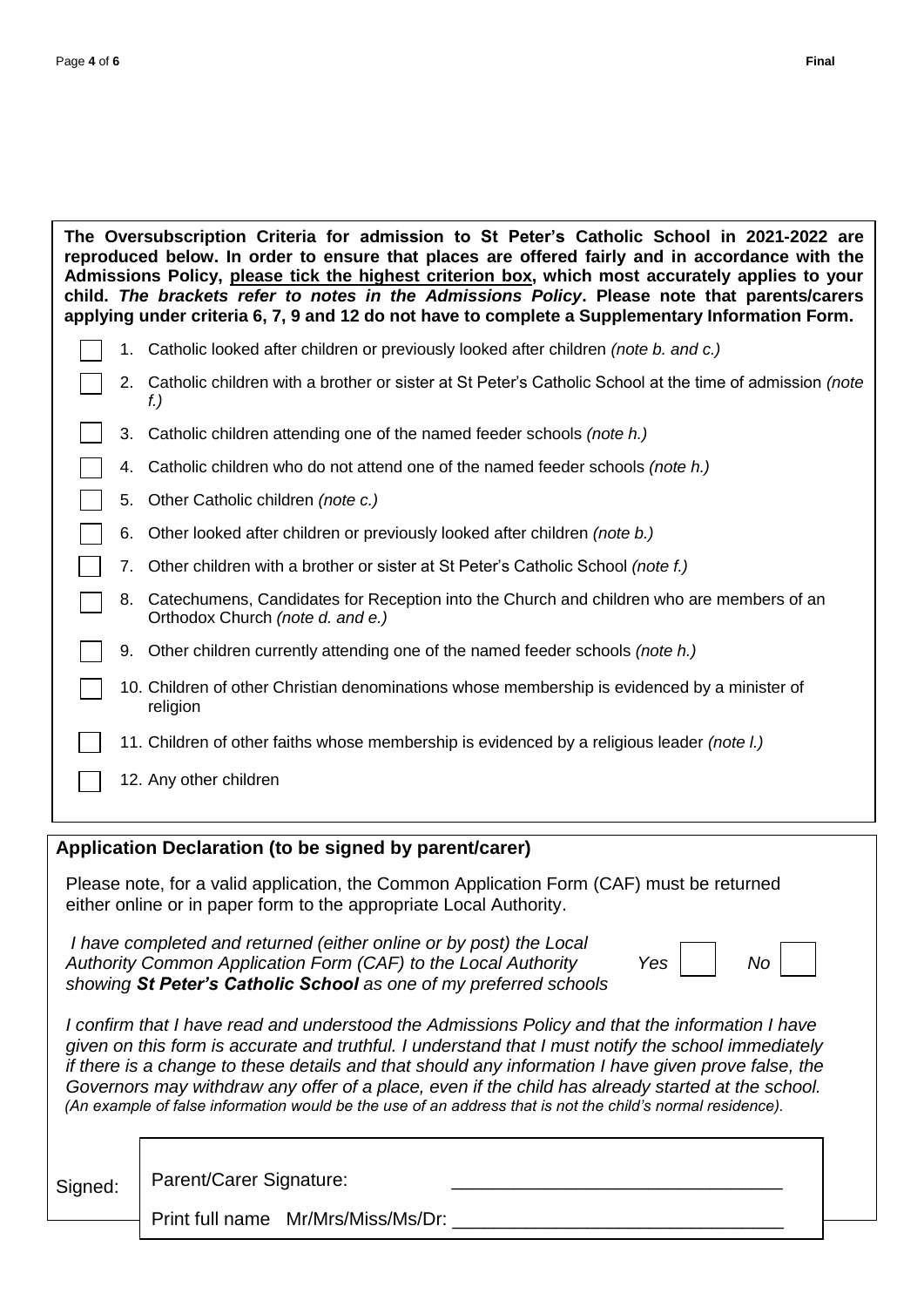| The Oversubscription Criteria for admission to St Peter's Catholic School in 2021-2022 are<br>reproduced below. In order to ensure that places are offered fairly and in accordance with the<br>Admissions Policy, please tick the highest criterion box, which most accurately applies to your<br>child. The brackets refer to notes in the Admissions Policy. Please note that parents/carers<br>applying under criteria 6, 7, 9 and 12 do not have to complete a Supplementary Information Form. |                                                                                                                                                                |                                                                                                                                 |  |
|-----------------------------------------------------------------------------------------------------------------------------------------------------------------------------------------------------------------------------------------------------------------------------------------------------------------------------------------------------------------------------------------------------------------------------------------------------------------------------------------------------|----------------------------------------------------------------------------------------------------------------------------------------------------------------|---------------------------------------------------------------------------------------------------------------------------------|--|
|                                                                                                                                                                                                                                                                                                                                                                                                                                                                                                     |                                                                                                                                                                | 1. Catholic looked after children or previously looked after children (note b. and c.)                                          |  |
|                                                                                                                                                                                                                                                                                                                                                                                                                                                                                                     |                                                                                                                                                                | 2. Catholic children with a brother or sister at St Peter's Catholic School at the time of admission (note<br>f.)               |  |
|                                                                                                                                                                                                                                                                                                                                                                                                                                                                                                     | 3.                                                                                                                                                             | Catholic children attending one of the named feeder schools (note h.)                                                           |  |
|                                                                                                                                                                                                                                                                                                                                                                                                                                                                                                     | 4.                                                                                                                                                             | Catholic children who do not attend one of the named feeder schools (note h.)                                                   |  |
|                                                                                                                                                                                                                                                                                                                                                                                                                                                                                                     | 5.                                                                                                                                                             | Other Catholic children (note c.)                                                                                               |  |
|                                                                                                                                                                                                                                                                                                                                                                                                                                                                                                     | 6.                                                                                                                                                             | Other looked after children or previously looked after children (note b.)                                                       |  |
|                                                                                                                                                                                                                                                                                                                                                                                                                                                                                                     | 7.                                                                                                                                                             | Other children with a brother or sister at St Peter's Catholic School (note f.)                                                 |  |
|                                                                                                                                                                                                                                                                                                                                                                                                                                                                                                     |                                                                                                                                                                | 8. Catechumens, Candidates for Reception into the Church and children who are members of an<br>Orthodox Church (note d. and e.) |  |
|                                                                                                                                                                                                                                                                                                                                                                                                                                                                                                     |                                                                                                                                                                | 9. Other children currently attending one of the named feeder schools (note h.)                                                 |  |
|                                                                                                                                                                                                                                                                                                                                                                                                                                                                                                     |                                                                                                                                                                | 10. Children of other Christian denominations whose membership is evidenced by a minister of<br>religion                        |  |
|                                                                                                                                                                                                                                                                                                                                                                                                                                                                                                     |                                                                                                                                                                | 11. Children of other faiths whose membership is evidenced by a religious leader (note l.)                                      |  |
|                                                                                                                                                                                                                                                                                                                                                                                                                                                                                                     |                                                                                                                                                                | 12. Any other children                                                                                                          |  |
| Application Declaration (to be signed by parent/carer)                                                                                                                                                                                                                                                                                                                                                                                                                                              |                                                                                                                                                                |                                                                                                                                 |  |
|                                                                                                                                                                                                                                                                                                                                                                                                                                                                                                     | Please note, for a valid application, the Common Application Form (CAF) must be returned<br>either online or in paper form to the appropriate Local Authority. |                                                                                                                                 |  |

 *I have completed and returned (either online or by post) the Local Authority Common Application Form (CAF) to the Local Authority Yes No showing St Peter's Catholic School as one of my preferred schools* 

|--|

*I* confirm that I have read and understood the Admissions Policy and that the information I have  *given on this form is accurate and truthful. I understand that I must notify the school immediately if there is a change to these details and that should any information I have given prove false, the Governors may withdraw any offer of a place, even if the child has already started at the school. (An example of false information would be the use of an address that is not the child's normal residence).*

Signed: | Parent/Carer Signature:

Print full name Mr/Mrs/Miss/Ms/Dr:

…………………………….……………………………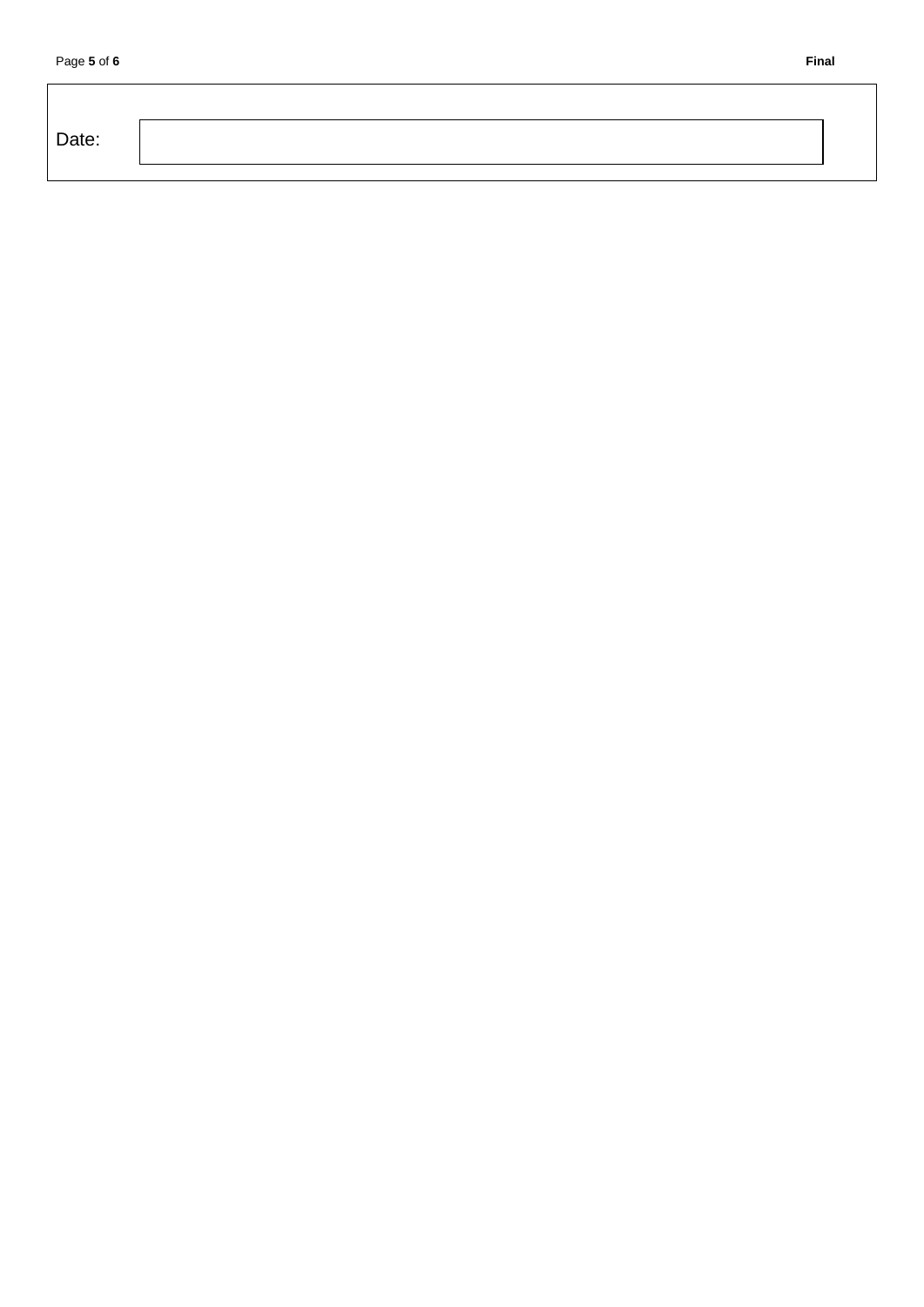| Date: |
|-------|
|-------|